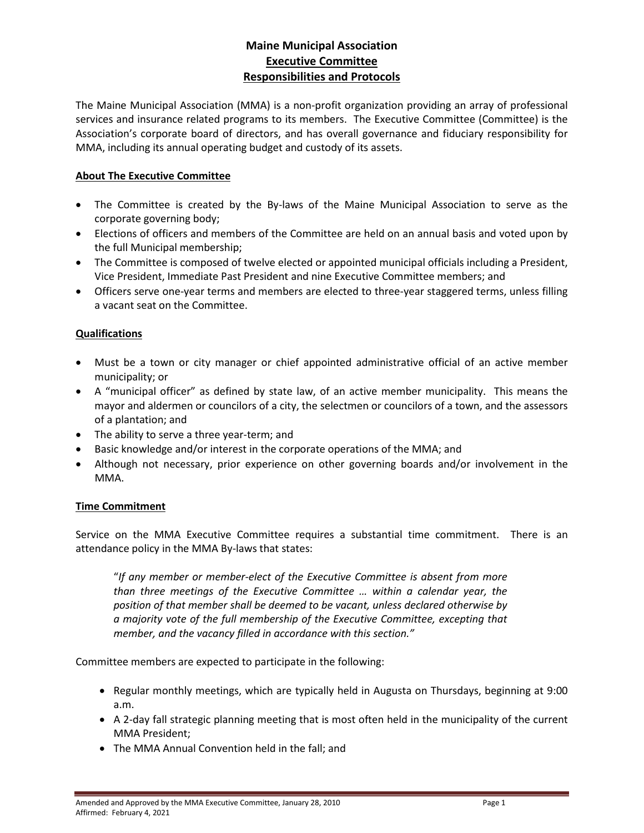# **Maine Municipal Association Executive Committee Responsibilities and Protocols**

The Maine Municipal Association (MMA) is a non-profit organization providing an array of professional services and insurance related programs to its members. The Executive Committee (Committee) is the Association's corporate board of directors, and has overall governance and fiduciary responsibility for MMA, including its annual operating budget and custody of its assets.

### **About The Executive Committee**

- The Committee is created by the By-laws of the Maine Municipal Association to serve as the corporate governing body;
- Elections of officers and members of the Committee are held on an annual basis and voted upon by the full Municipal membership;
- The Committee is composed of twelve elected or appointed municipal officials including a President, Vice President, Immediate Past President and nine Executive Committee members; and
- Officers serve one-year terms and members are elected to three-year staggered terms, unless filling a vacant seat on the Committee.

### **Qualifications**

- Must be a town or city manager or chief appointed administrative official of an active member municipality; or
- A "municipal officer" as defined by state law, of an active member municipality. This means the mayor and aldermen or councilors of a city, the selectmen or councilors of a town, and the assessors of a plantation; and
- The ability to serve a three year-term; and
- Basic knowledge and/or interest in the corporate operations of the MMA; and
- Although not necessary, prior experience on other governing boards and/or involvement in the MMA.

#### **Time Commitment**

Service on the MMA Executive Committee requires a substantial time commitment. There is an attendance policy in the MMA By-laws that states:

"*If any member or member-elect of the Executive Committee is absent from more than three meetings of the Executive Committee … within a calendar year, the position of that member shall be deemed to be vacant, unless declared otherwise by a majority vote of the full membership of the Executive Committee, excepting that member, and the vacancy filled in accordance with this section."*

Committee members are expected to participate in the following:

- Regular monthly meetings, which are typically held in Augusta on Thursdays, beginning at 9:00 a.m.
- A 2-day fall strategic planning meeting that is most often held in the municipality of the current MMA President;
- The MMA Annual Convention held in the fall; and